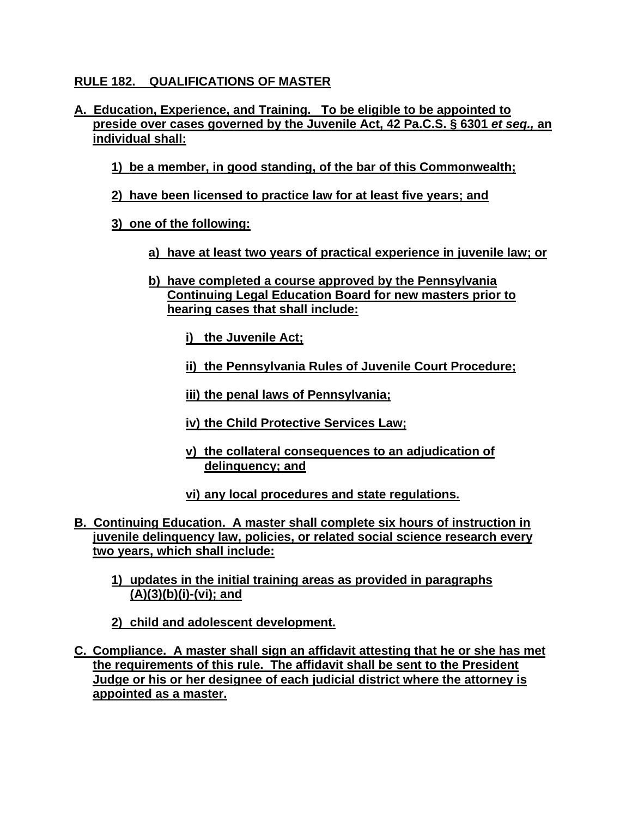## **RULE 182. QUALIFICATIONS OF MASTER**

- **A. Education, Experience, and Training. To be eligible to be appointed to preside over cases governed by the Juvenile Act, 42 Pa.C.S. § 6301** *et seq.,* **an individual shall:**
	- **1) be a member, in good standing, of the bar of this Commonwealth;**
	- **2) have been licensed to practice law for at least five years; and**
	- **3) one of the following:**
		- **a) have at least two years of practical experience in juvenile law; or**
		- **b) have completed a course approved by the Pennsylvania Continuing Legal Education Board for new masters prior to hearing cases that shall include:**
			- **i) the Juvenile Act;**
			- **ii) the Pennsylvania Rules of Juvenile Court Procedure;**
			- **iii) the penal laws of Pennsylvania;**
			- **iv) the Child Protective Services Law;**
			- **v) the collateral consequences to an adjudication of delinquency; and**
			- **vi) any local procedures and state regulations.**
- **B. Continuing Education. A master shall complete six hours of instruction in juvenile delinquency law, policies, or related social science research every two years, which shall include:**
	- **1) updates in the initial training areas as provided in paragraphs (A)(3)(b)(i)-(vi); and**
	- **2) child and adolescent development.**
- **C. Compliance. A master shall sign an affidavit attesting that he or she has met the requirements of this rule. The affidavit shall be sent to the President Judge or his or her designee of each judicial district where the attorney is appointed as a master.**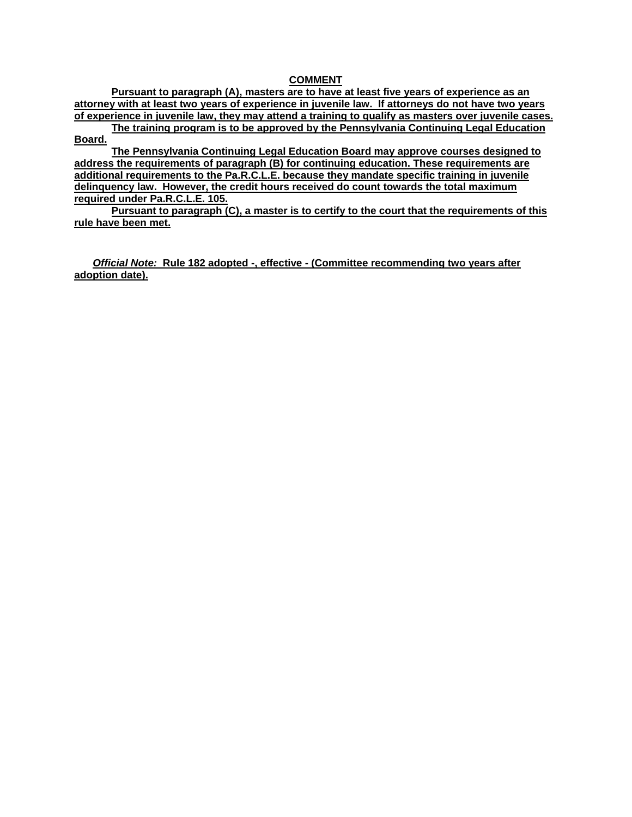## **COMMENT**

**Pursuant to paragraph (A), masters are to have at least five years of experience as an attorney with at least two years of experience in juvenile law. If attorneys do not have two years of experience in juvenile law, they may attend a training to qualify as masters over juvenile cases.** 

**The training program is to be approved by the Pennsylvania Continuing Legal Education Board.**

**The Pennsylvania Continuing Legal Education Board may approve courses designed to address the requirements of paragraph (B) for continuing education. These requirements are additional requirements to the Pa.R.C.L.E. because they mandate specific training in juvenile delinquency law. However, the credit hours received do count towards the total maximum required under Pa.R.C.L.E. 105.**

**Pursuant to paragraph (C), a master is to certify to the court that the requirements of this rule have been met.** 

*Official Note:* **Rule 182 adopted -, effective - (Committee recommending two years after adoption date).**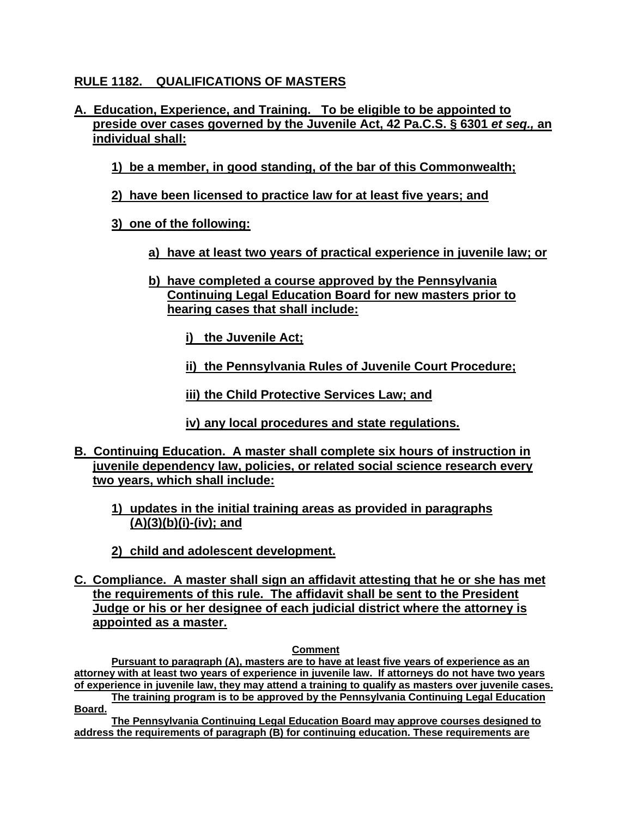## **RULE 1182. QUALIFICATIONS OF MASTERS**

- **A. Education, Experience, and Training. To be eligible to be appointed to preside over cases governed by the Juvenile Act, 42 Pa.C.S. § 6301** *et seq.,* **an individual shall:**
	- **1) be a member, in good standing, of the bar of this Commonwealth;**
	- **2) have been licensed to practice law for at least five years; and**
	- **3) one of the following:**
		- **a) have at least two years of practical experience in juvenile law; or**
		- **b) have completed a course approved by the Pennsylvania Continuing Legal Education Board for new masters prior to hearing cases that shall include:**
			- **i) the Juvenile Act;**
			- **ii) the Pennsylvania Rules of Juvenile Court Procedure;**
			- **iii) the Child Protective Services Law; and**
			- **iv) any local procedures and state regulations.**
- **B. Continuing Education. A master shall complete six hours of instruction in juvenile dependency law, policies, or related social science research every two years, which shall include:**
	- **1) updates in the initial training areas as provided in paragraphs (A)(3)(b)(i)-(iv); and**
	- **2) child and adolescent development.**
- **C. Compliance. A master shall sign an affidavit attesting that he or she has met the requirements of this rule. The affidavit shall be sent to the President Judge or his or her designee of each judicial district where the attorney is appointed as a master.**

## **Comment**

**Pursuant to paragraph (A), masters are to have at least five years of experience as an attorney with at least two years of experience in juvenile law. If attorneys do not have two years of experience in juvenile law, they may attend a training to qualify as masters over juvenile cases.** 

**The training program is to be approved by the Pennsylvania Continuing Legal Education Board.**

**The Pennsylvania Continuing Legal Education Board may approve courses designed to address the requirements of paragraph (B) for continuing education. These requirements are**